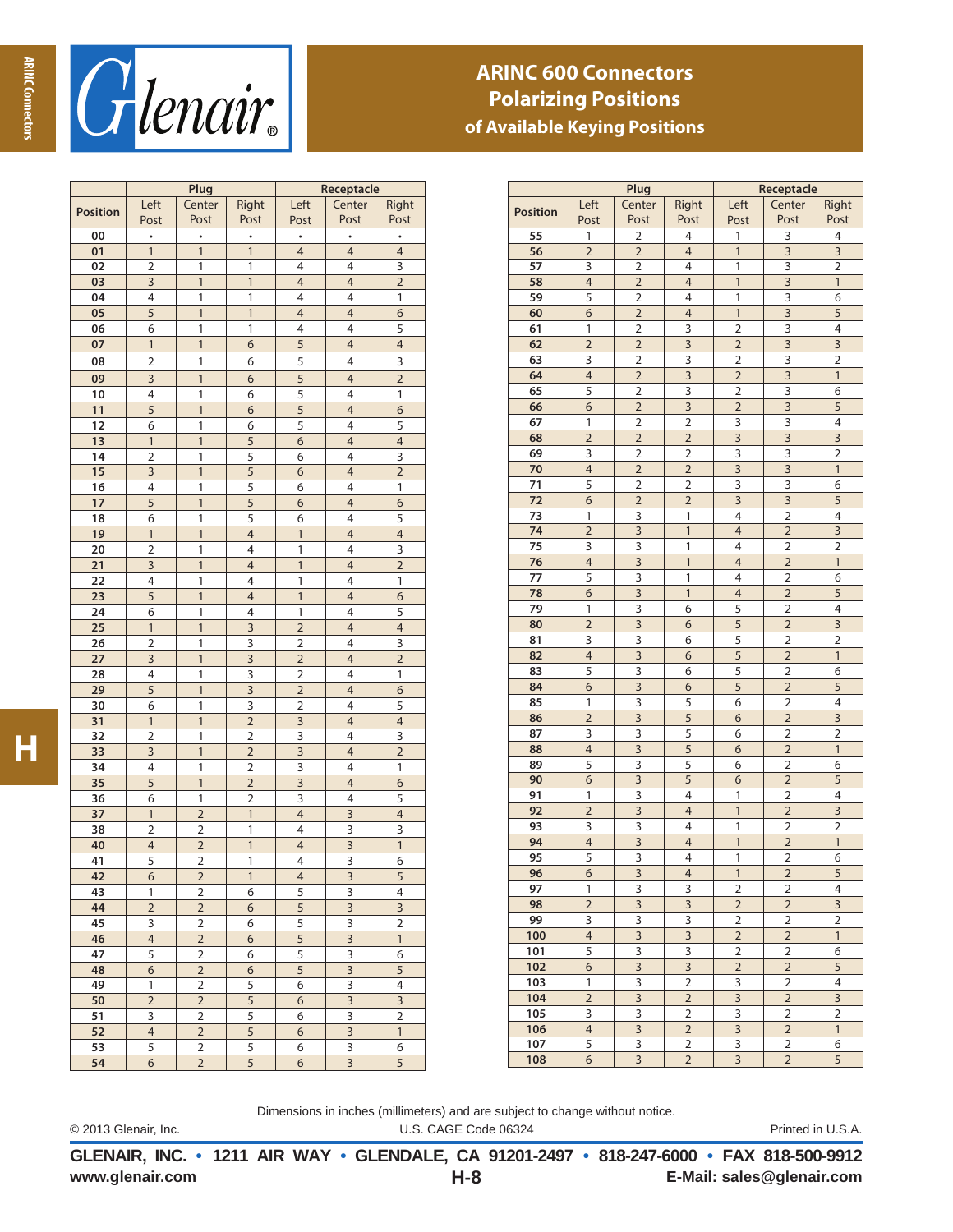

## **ARINC 600 Connectors Polarizing Positions of Available Keying Positions**

|                 | Plug                     |                |                         | Receptacle               |                         |                          |  |
|-----------------|--------------------------|----------------|-------------------------|--------------------------|-------------------------|--------------------------|--|
|                 | Left                     | Center         | Right                   | Left                     | Center                  | Right                    |  |
| <b>Position</b> | Post                     | Post           | Post                    | Post                     | Post                    | Post                     |  |
| 00              | $\bullet$                |                |                         | $\bullet$                | $\bullet$               | ٠                        |  |
| 01              | $\mathbf{1}$             | $\mathbf{1}$   | $\mathbf{1}$            | $\overline{4}$           | $\overline{4}$          | $\overline{4}$           |  |
| 02              | $\overline{\mathbf{c}}$  | 1              | 1                       | 4                        | 4                       | $\overline{\mathbf{3}}$  |  |
| 03              | 3                        | $\mathbf{1}$   | $\mathbf{1}$            | $\overline{4}$           | $\overline{4}$          | $\overline{2}$           |  |
| 04              | 4                        | $\mathbf{1}$   | 1                       | $\overline{4}$           | 4                       | 1                        |  |
| 05              | 5                        | 1              | 1                       | $\overline{a}$           | $\overline{4}$          | 6                        |  |
| 06              | 6                        | 1              | 1                       | 4                        | 4                       | 5                        |  |
| 07              | $\mathbf{1}$             | $\overline{1}$ | 6                       | 5                        | $\overline{4}$          | $\overline{\mathcal{L}}$ |  |
| 08              | 2                        | 1              | 6                       | 5                        | 4                       | 3                        |  |
| 09              | 3                        | 1              | 6                       | 5                        | 4                       | $\overline{c}$           |  |
| 10              | 4                        | 1              | 6                       | 5                        | 4                       | 1                        |  |
| 11              | 5                        | $\overline{1}$ | 6                       | 5                        | $\overline{4}$          | $\overline{6}$           |  |
| 12              | 6                        | 1              | 6                       | 5                        | 4                       | 5                        |  |
| 13              | $\mathbf{1}$             | $\overline{1}$ | 5                       | $\overline{6}$           | $\overline{4}$          | $\overline{4}$           |  |
| 14              | $\overline{2}$           | 1              | 5                       | 6                        | 4                       | 3                        |  |
| 15              | 3                        | 1              | $\overline{5}$          | 6                        | 4                       | $\overline{2}$           |  |
| 16              | 4                        | 1              | 5                       | 6                        | 4                       | 1                        |  |
| 17              | 5                        | $\overline{1}$ | 5                       | $\overline{6}$           | $\overline{4}$          | $\overline{6}$           |  |
| 18              | 6                        | 1              | 5                       | 6                        | 4                       | 5                        |  |
| 19              | $\mathbf{1}$             | $\overline{1}$ | $\overline{4}$          | $\mathbf{1}$             | $\overline{4}$          | $\overline{4}$           |  |
| 20              | $\overline{2}$           | 1              | 4                       | 1                        | 4                       | 3                        |  |
| 21              | 3                        | 1              | $\overline{4}$          | 1                        | 4                       | $\overline{2}$           |  |
| 22              | 4                        | 1              | 4                       | 1                        | 4                       | 1                        |  |
| 23              | 5                        | $\overline{1}$ | $\overline{4}$          | $\mathbf{1}$             | $\overline{4}$          | $\overline{6}$           |  |
| 24              | 6                        | 1              | 4                       | 1                        | 4                       | 5                        |  |
| $\overline{25}$ | $\mathbf{1}$             | $\overline{1}$ | 3                       | $\overline{2}$           | $\overline{4}$          | $\overline{4}$           |  |
| 26              | $\overline{2}$           | 1              | 3                       | $\overline{2}$           | 4                       | 3                        |  |
| 27              | 3                        | 1              | $\overline{\mathbf{3}}$ | $\overline{2}$           | 4                       | $\overline{2}$           |  |
| 28              | 4                        | 1              | 3                       | $\overline{2}$           | 4                       | 1                        |  |
| 29              | 5                        | $\overline{1}$ | $\overline{\mathbf{3}}$ | $\overline{2}$           | $\overline{4}$          | $\overline{6}$           |  |
| 30              | 6                        | 1              | $\overline{\mathbf{3}}$ | $\overline{\mathbf{c}}$  | 4                       | 5                        |  |
| 31              | $\mathbf{1}$             | $\overline{1}$ | $\overline{2}$          | $\overline{\mathbf{3}}$  | $\overline{4}$          | $\overline{4}$           |  |
| 32              | $\overline{2}$           | 1              | $\overline{2}$          | 3                        | 4                       | 3                        |  |
| 33              | 3                        | 1              | $\overline{2}$          | $\overline{\mathbf{3}}$  | 4                       | $\overline{2}$           |  |
| 34              | 4                        | 1              | $\overline{2}$          | 3                        | 4                       | 1                        |  |
| 35              | 5                        | $\overline{1}$ | $\overline{2}$          | $\overline{\mathbf{3}}$  | $\overline{4}$          | $\overline{6}$           |  |
| 36              | 6                        | 1              | $\overline{2}$          | 3                        | 4                       | 5                        |  |
| 37              | $\mathbf{1}$             | $\overline{2}$ | $\mathbf{1}$            | $\overline{4}$           | 3                       | $\overline{4}$           |  |
| 38              | $\overline{2}$           | $\overline{2}$ | 1                       | 4                        | 3                       | 3                        |  |
| 40              | 4                        | $\overline{c}$ | 1                       | $\overline{\mathcal{L}}$ | $\overline{\mathbf{3}}$ | 1                        |  |
| 41              | 5                        | $\overline{2}$ | 1                       | 4                        | 3                       | 6                        |  |
| 42              | 6                        | $\overline{z}$ | $\mathbf{1}$            | $\overline{4}$           | $\overline{\mathbf{3}}$ | 5                        |  |
| 43              | 1                        | $\overline{2}$ | 6                       | 5                        | 3                       | 4                        |  |
| 44              | $\overline{2}$           | $\overline{2}$ | 6                       | 5                        | 3                       | 3                        |  |
| 45              | 3                        | 2              | 6                       | 5                        | 3                       | 2                        |  |
| 46              | $\overline{\mathcal{L}}$ | $\overline{2}$ | 6                       | $\overline{\mathbf{5}}$  | $\overline{\mathbf{3}}$ | 1                        |  |
| 47              | 5                        | $\overline{2}$ | 6                       | 5                        | 3                       | 6                        |  |
| 48              | 6                        | $\overline{2}$ | 6                       | 5                        | 3                       | 5                        |  |
| 49              | 1                        | $\overline{2}$ | $\overline{\mathbf{5}}$ | 6                        | $\overline{\mathbf{3}}$ | 4                        |  |
| 50              | $\overline{2}$           | $\overline{2}$ | 5                       | 6                        | $\overline{\mathbf{3}}$ | 3                        |  |
| 51              | 3                        | $\overline{2}$ | 5                       | 6                        | 3                       | $\overline{2}$           |  |
| 52              | $\overline{\mathcal{L}}$ | $\overline{2}$ | $\overline{5}$          | 6                        | 3                       | 1                        |  |
| 53              | 5                        | $\overline{2}$ | 5                       | 6                        | 3                       | 6                        |  |
| 54              | 6                        | $\overline{2}$ | 5                       | 6                        | 3                       | 5                        |  |

|                 | Plug                     |                                  |                         | Receptacle              |                |                |  |
|-----------------|--------------------------|----------------------------------|-------------------------|-------------------------|----------------|----------------|--|
|                 | Left                     | Center                           | Right                   | Left                    | Center         | Right          |  |
| <b>Position</b> | Post                     | Post                             | Post                    | Post                    | Post           | Post           |  |
| 55              | 1                        | $\overline{2}$                   | 4                       | 1                       | 3              | 4              |  |
| 56              | $\overline{2}$           | $\overline{2}$                   | $\overline{4}$          | $\mathbf{1}$            | 3              | 3              |  |
| 57              | 3                        | $\overline{2}$                   | 4                       | 1                       | 3              | 2              |  |
| 58              | $\overline{4}$           | $\overline{2}$                   | $\overline{4}$          | $\mathbf{1}$            | 3              | $\mathbf{1}$   |  |
| 59              | 5                        | $\overline{2}$                   | 4                       | 1                       | 3              | 6              |  |
|                 |                          |                                  |                         |                         |                |                |  |
| 60              | 6                        | $\overline{2}$<br>$\overline{2}$ | $\overline{4}$          | $\mathbf{1}$            | 3<br>3         | 5              |  |
| 61              | 1                        |                                  | 3                       | $\overline{2}$          |                | 4              |  |
| 62              | $\overline{2}$           | $\overline{2}$                   | 3                       | $\overline{2}$          | 3              | 3              |  |
| 63              | 3                        | $\overline{\mathbf{c}}$          | 3                       | 2                       | 3              | 2              |  |
| 64              | $\overline{4}$           | $\overline{2}$                   | $\overline{3}$          | $\overline{2}$          | 3              | $\mathbf{1}$   |  |
| 65              | 5                        | $\overline{2}$                   | 3                       | $\overline{2}$          | 3              | 6              |  |
| 66              | 6                        | $\overline{2}$                   | 3                       | $\overline{2}$          | 3              | 5              |  |
| 67              | 1                        | $\overline{2}$                   | $\overline{2}$          | 3                       | 3              | 4              |  |
| 68              | $\overline{2}$           | $\overline{2}$                   | $\overline{2}$          | 3                       | 3              | 3              |  |
| 69              | 3                        | $\overline{2}$                   | $\overline{\mathbf{c}}$ | 3                       | 3              | 2              |  |
| 70              | $\overline{4}$           | $\overline{2}$                   | $\overline{2}$          | $\overline{\mathbf{3}}$ | 3              | $\mathbf{1}$   |  |
| 71              | 5                        | $\overline{2}$                   | $\overline{2}$          | 3                       | 3              | 6              |  |
| 72              | 6                        | $\overline{2}$                   | $\overline{2}$          | 3                       | 3              | 5              |  |
| 73              | 1                        | 3                                | 1                       | 4                       | $\overline{2}$ | 4              |  |
| 74              | $\overline{2}$           | 3                                | $\mathbf{1}$            | $\overline{4}$          | $\overline{2}$ | 3              |  |
| 75              | 3                        | 3                                | 1                       | 4                       | 2              | 2              |  |
| 76              | 4                        | $\overline{\mathbf{3}}$          | $\mathbf{1}$            | $\overline{4}$          | $\overline{2}$ | $\mathbf{1}$   |  |
| 77              | 5                        | 3                                | 1                       | 4                       | 2              | 6              |  |
| 78              | 6                        | 3                                | $\mathbf{1}$            | 4                       | $\overline{2}$ | 5              |  |
| 79              | 1                        | 3                                | 6                       | 5                       | $\overline{2}$ | 4              |  |
| 80              | $\overline{2}$           | 3                                | 6                       | 5                       | $\overline{2}$ | 3              |  |
| 81              | 3                        | 3                                | 6                       | 5                       | 2              | 2              |  |
| 82              | $\overline{4}$           | $\overline{\mathbf{3}}$          | 6                       | 5                       | $\overline{2}$ | $\mathbf{1}$   |  |
| 83              | 5                        | 3                                | 6                       | 5                       | $\overline{2}$ | 6              |  |
| 84              | 6                        | 3                                | 6                       | 5                       | $\overline{2}$ | 5              |  |
| 85              | 1                        | 3                                | 5                       | 6                       | $\overline{2}$ | 4              |  |
| 86              | $\overline{2}$           | 3                                | 5                       | 6                       | $\overline{2}$ | 3              |  |
| 87              | 3                        | 3                                | 5                       | 6                       | 2              | 2              |  |
| 88              | $\overline{4}$           | $\overline{\mathbf{3}}$          | 5                       | 6                       | $\overline{2}$ | $\mathbf{1}$   |  |
| 89              | 5                        | 3                                | 5                       | 6                       | 2              | 6              |  |
| 90              | 6                        | 3                                | 5                       | 6                       | $\overline{2}$ | 5              |  |
| 91              | 1                        | 3                                | 4                       | 1                       | $\overline{2}$ | 4              |  |
| 92              | $\overline{2}$           | 3                                | $\overline{4}$          | $\mathbf{1}$            | $\overline{2}$ | 3              |  |
| 93              | 3                        | 3                                | 4                       | 1                       | 2              | 2              |  |
| 94              | $\overline{\mathcal{A}}$ | $\overline{\mathbf{3}}$          | $\overline{4}$          | $\mathbf{1}$            | $\overline{2}$ | $\mathbf{1}$   |  |
| 95              | 5                        | 3                                | 4                       | 1                       | $\overline{2}$ | 6              |  |
| 96              | 6                        | $\overline{\mathbf{3}}$          | $\overline{4}$          | $\overline{1}$          | $\overline{2}$ | $\overline{5}$ |  |
| 97              | 1                        | 3                                | 3                       | 2                       | 2              | 4              |  |
| 98              | $\overline{2}$           | 3                                | 3                       | $\overline{2}$          | $\overline{2}$ | 3              |  |
| 99              | 3                        | 3                                | 3                       | 2                       | 2              | 2              |  |
| 100             | 4                        | 3                                | 3                       | $\overline{2}$          | $\overline{2}$ | $\mathbf{1}$   |  |
| 101             | 5                        | 3                                | 3                       | 2                       | 2              | 6              |  |
| 102             | 6                        | 3                                | 3                       | $\overline{2}$          | $\overline{2}$ | 5              |  |
| 103             | 1                        | 3                                | 2                       | 3                       | 2              | 4              |  |
| 104             | $\overline{2}$           | 3                                | $\overline{2}$          | 3                       | $\overline{2}$ | 3              |  |
| 105             | 3                        | 3                                | 2                       | 3                       | 2              | 2              |  |
| 106             | 4                        | 3                                | $\overline{2}$          | 3                       | $\overline{2}$ | $\mathbf{1}$   |  |
| 107             | 5                        | 3                                | 2                       | 3                       | 2              | 6              |  |
| 108             | 6                        | 3                                | $\overline{2}$          | 3                       | $\overline{2}$ | 5              |  |
|                 |                          |                                  |                         |                         |                |                |  |

© 2013 Glenair, Inc. U.S. CAGE Code 06324 Printed in U.S.A. Dimensions in inches (millimeters) and are subject to change without notice.

**www.glenair.com E-Mail: sales@glenair.com GLENAIR, INC. • 1211 AIR WAY • GLENDALE, CA 91201-2497 • 818-247-6000 • FAX 818-500-9912 H-8**